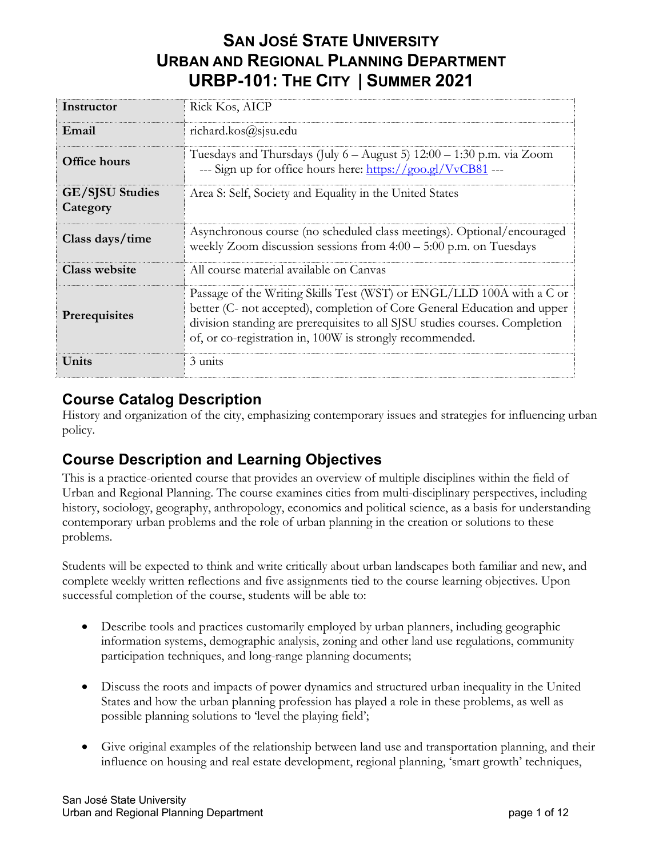# **SAN JOSÉ STATE UNIVERSITY URBAN AND REGIONAL PLANNING DEPARTMENT URBP-101: THE CITY | SUMMER 2021**

| Instructor                         | Rick Kos, AICP                                                                                                                                                                                                                                                                               |
|------------------------------------|----------------------------------------------------------------------------------------------------------------------------------------------------------------------------------------------------------------------------------------------------------------------------------------------|
| Email                              | richard.kos@sjsu.edu                                                                                                                                                                                                                                                                         |
| <b>Office hours</b>                | Tuesdays and Thursdays (July 6 - August 5) 12:00 - 1:30 p.m. via Zoom<br>--- Sign up for office hours here: https://goo.gl/VvCB81 ---                                                                                                                                                        |
| <b>GE/SJSU Studies</b><br>Category | Area S: Self, Society and Equality in the United States                                                                                                                                                                                                                                      |
| Class days/time                    | Asynchronous course (no scheduled class meetings). Optional/encouraged<br>weekly Zoom discussion sessions from $4:00 - 5:00$ p.m. on Tuesdays                                                                                                                                                |
| Class website                      | All course material available on Canvas                                                                                                                                                                                                                                                      |
| Prerequisites                      | Passage of the Writing Skills Test (WST) or ENGL/LLD 100A with a C or<br>better (C- not accepted), completion of Core General Education and upper<br>division standing are prerequisites to all SJSU studies courses. Completion<br>of, or co-registration in, 100W is strongly recommended. |
| Units                              | 3 units                                                                                                                                                                                                                                                                                      |

## **Course Catalog Description**

History and organization of the city, emphasizing contemporary issues and strategies for influencing urban policy.

## **Course Description and Learning Objectives**

This is a practice-oriented course that provides an overview of multiple disciplines within the field of Urban and Regional Planning. The course examines cities from multi-disciplinary perspectives, including history, sociology, geography, anthropology, economics and political science, as a basis for understanding contemporary urban problems and the role of urban planning in the creation or solutions to these problems.

Students will be expected to think and write critically about urban landscapes both familiar and new, and complete weekly written reflections and five assignments tied to the course learning objectives. Upon successful completion of the course, students will be able to:

- Describe tools and practices customarily employed by urban planners, including geographic information systems, demographic analysis, zoning and other land use regulations, community participation techniques, and long-range planning documents;
- Discuss the roots and impacts of power dynamics and structured urban inequality in the United States and how the urban planning profession has played a role in these problems, as well as possible planning solutions to 'level the playing field';
- Give original examples of the relationship between land use and transportation planning, and their influence on housing and real estate development, regional planning, 'smart growth' techniques,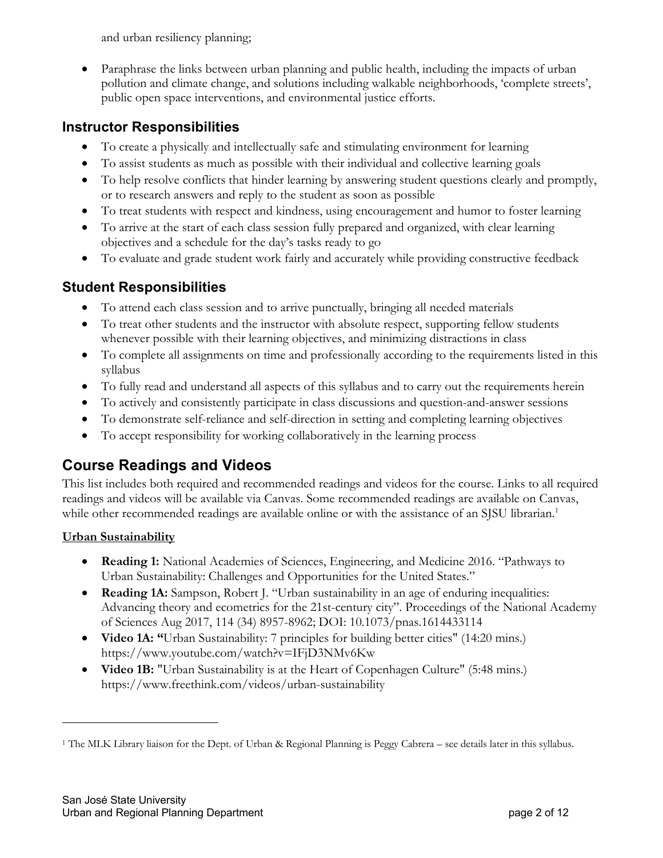and urban resiliency planning;

• Paraphrase the links between urban planning and public health, including the impacts of urban pollution and climate change, and solutions including walkable neighborhoods, 'complete streets', public open space interventions, and environmental justice efforts.

## **Instructor Responsibilities**

- To create a physically and intellectually safe and stimulating environment for learning
- To assist students as much as possible with their individual and collective learning goals
- To help resolve conflicts that hinder learning by answering student questions clearly and promptly, or to research answers and reply to the student as soon as possible
- To treat students with respect and kindness, using encouragement and humor to foster learning
- To arrive at the start of each class session fully prepared and organized, with clear learning objectives and a schedule for the day's tasks ready to go
- To evaluate and grade student work fairly and accurately while providing constructive feedback

## **Student Responsibilities**

- To attend each class session and to arrive punctually, bringing all needed materials
- To treat other students and the instructor with absolute respect, supporting fellow students whenever possible with their learning objectives, and minimizing distractions in class
- To complete all assignments on time and professionally according to the requirements listed in this syllabus
- To fully read and understand all aspects of this syllabus and to carry out the requirements herein
- To actively and consistently participate in class discussions and question-and-answer sessions
- To demonstrate self-reliance and self-direction in setting and completing learning objectives
- To accept responsibility for working collaboratively in the learning process

## **Course Readings and Videos**

This list includes both required and recommended readings and videos for the course. Links to all required readings and videos will be available via Canvas. Some recommended readings are available on Canvas, while other recommended readings are available online or with the assistance of an SJSU librarian.<sup>1</sup>

### **Urban Sustainability**

- **Reading 1:** National Academies of Sciences, Engineering, and Medicine 2016. "Pathways to Urban Sustainability: Challenges and Opportunities for the United States."
- **Reading 1A:** Sampson, Robert J. "Urban sustainability in an age of enduring inequalities: Advancing theory and ecometrics for the 21st-century city". Proceedings of the National Academy of Sciences Aug 2017, 114 (34) 8957-8962; DOI: 10.1073/pnas.1614433114
- **Video 1A: "**Urban Sustainability: 7 principles for building better cities" (14:20 mins.) https://www.youtube.com/watch?v=IFjD3NMv6Kw
- **Video 1B:** "Urban Sustainability is at the Heart of Copenhagen Culture" (5:48 mins.) https://www.freethink.com/videos/urban-sustainability

<sup>&</sup>lt;sup>1</sup> The MLK Library liaison for the Dept. of Urban & Regional Planning is Peggy Cabrera – see details later in this syllabus.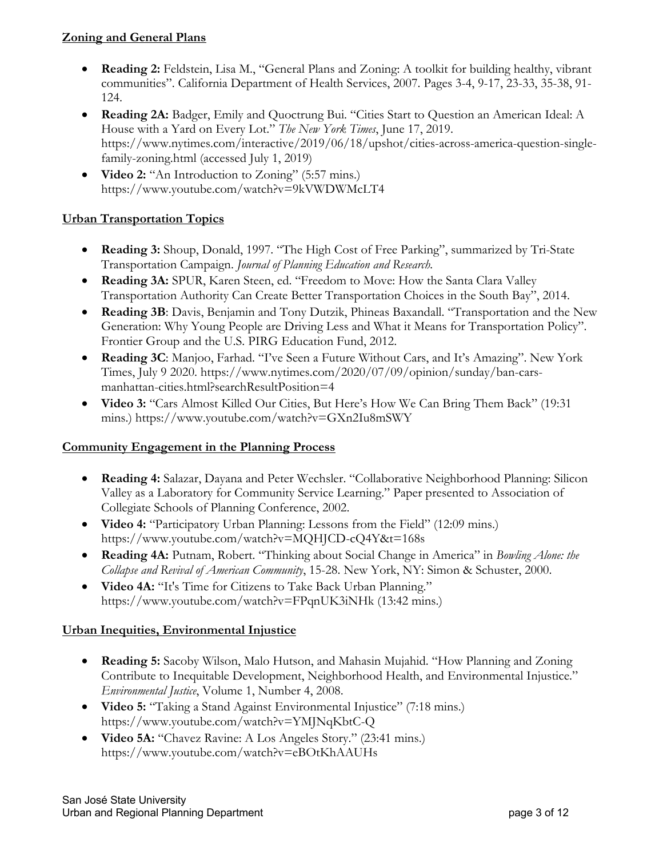#### **Zoning and General Plans**

- **Reading 2:** Feldstein, Lisa M., "General Plans and Zoning: A toolkit for building healthy, vibrant communities". California Department of Health Services, 2007. Pages 3-4, 9-17, 23-33, 35-38, 91- 124.
- **Reading 2A:** Badger, Emily and Quoctrung Bui. "Cities Start to Question an American Ideal: A House with a Yard on Every Lot." *The New York Times*, June 17, 2019. https://www.nytimes.com/interactive/2019/06/18/upshot/cities-across-america-question-singlefamily-zoning.html (accessed July 1, 2019)
- **Video 2:** "An Introduction to Zoning" (5:57 mins.) https://www.youtube.com/watch?v=9kVWDWMcLT4

### **Urban Transportation Topics**

- **Reading 3:** Shoup, Donald, 1997. "The High Cost of Free Parking", summarized by Tri-State Transportation Campaign. *Journal of Planning Education and Research.*
- **Reading 3A:** SPUR, Karen Steen, ed. "Freedom to Move: How the Santa Clara Valley Transportation Authority Can Create Better Transportation Choices in the South Bay", 2014.
- **Reading 3B**: Davis, Benjamin and Tony Dutzik, Phineas Baxandall. "Transportation and the New Generation: Why Young People are Driving Less and What it Means for Transportation Policy". Frontier Group and the U.S. PIRG Education Fund, 2012.
- **Reading 3C**: Manjoo, Farhad. "I've Seen a Future Without Cars, and It's Amazing". New York Times, July 9 2020. https://www.nytimes.com/2020/07/09/opinion/sunday/ban-carsmanhattan-cities.html?searchResultPosition=4
- **Video 3:** "Cars Almost Killed Our Cities, But Here's How We Can Bring Them Back" (19:31 mins.) https://www.youtube.com/watch?v=GXn2Iu8mSWY

#### **Community Engagement in the Planning Process**

- **Reading 4:** Salazar, Dayana and Peter Wechsler. "Collaborative Neighborhood Planning: Silicon Valley as a Laboratory for Community Service Learning." Paper presented to Association of Collegiate Schools of Planning Conference, 2002.
- **Video 4:** "Participatory Urban Planning: Lessons from the Field" (12:09 mins.) https://www.youtube.com/watch?v=MQHJCD-cQ4Y&t=168s
- **Reading 4A:** Putnam, Robert. "Thinking about Social Change in America" in *Bowling Alone: the Collapse and Revival of American Community*, 15-28. New York, NY: Simon & Schuster, 2000.
- **Video 4A:** "It's Time for Citizens to Take Back Urban Planning." https://www.youtube.com/watch?v=FPqnUK3iNHk (13:42 mins.)

#### **Urban Inequities, Environmental Injustice**

- **Reading 5:** Sacoby Wilson, Malo Hutson, and Mahasin Mujahid. "How Planning and Zoning Contribute to Inequitable Development, Neighborhood Health, and Environmental Injustice." *Environmental Justice*, Volume 1, Number 4, 2008.
- **Video 5:** "Taking a Stand Against Environmental Injustice" (7:18 mins.) https://www.youtube.com/watch?v=YMJNqKbtC-Q
- **Video 5A:** "Chavez Ravine: A Los Angeles Story." (23:41 mins.) https://www.youtube.com/watch?v=eBOtKhAAUHs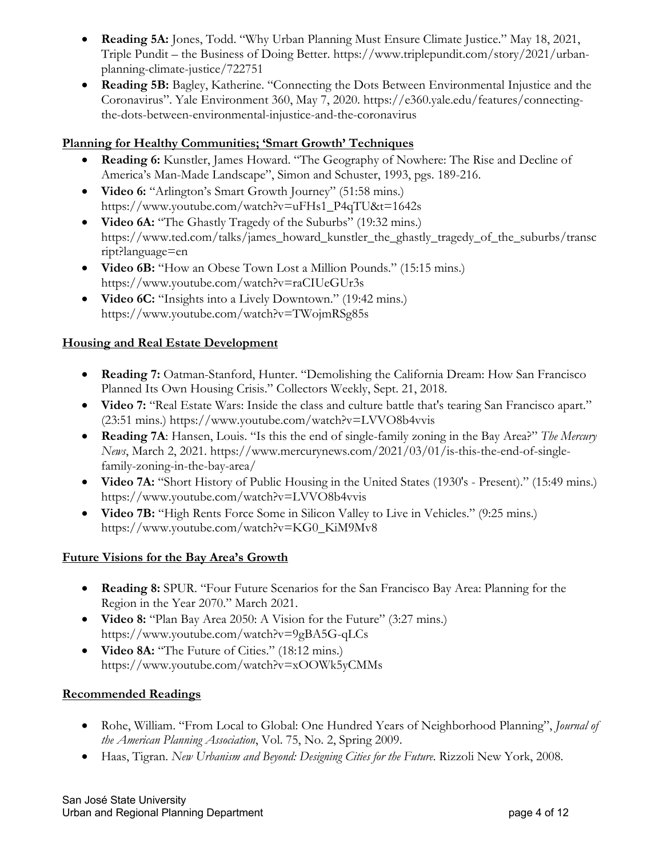- **Reading 5A:** Jones, Todd. "Why Urban Planning Must Ensure Climate Justice." May 18, 2021, Triple Pundit – the Business of Doing Better. https://www.triplepundit.com/story/2021/urbanplanning-climate-justice/722751
- **Reading 5B:** Bagley, Katherine. "Connecting the Dots Between Environmental Injustice and the Coronavirus". Yale Environment 360, May 7, 2020. https://e360.yale.edu/features/connectingthe-dots-between-environmental-injustice-and-the-coronavirus

#### **Planning for Healthy Communities; 'Smart Growth' Techniques**

- **Reading 6:** Kunstler, James Howard. "The Geography of Nowhere: The Rise and Decline of America's Man-Made Landscape", Simon and Schuster, 1993, pgs. 189-216.
- **Video 6:** "Arlington's Smart Growth Journey" (51:58 mins.) https://www.youtube.com/watch?v=uFHs1\_P4qTU&t=1642s
- **Video 6A:** "The Ghastly Tragedy of the Suburbs" (19:32 mins.) https://www.ted.com/talks/james\_howard\_kunstler\_the\_ghastly\_tragedy\_of\_the\_suburbs/transc ript?language=en
- **Video 6B:** "How an Obese Town Lost a Million Pounds." (15:15 mins.) https://www.youtube.com/watch?v=raCIUeGUr3s
- **Video 6C:** "Insights into a Lively Downtown." (19:42 mins.) https://www.youtube.com/watch?v=TWojmRSg85s

#### **Housing and Real Estate Development**

- **Reading 7:** Oatman-Stanford, Hunter. "Demolishing the California Dream: How San Francisco Planned Its Own Housing Crisis." Collectors Weekly, Sept. 21, 2018.
- **Video 7:** "Real Estate Wars: Inside the class and culture battle that's tearing San Francisco apart." (23:51 mins.) https://www.youtube.com/watch?v=LVVO8b4vvis
- **Reading 7A**: Hansen, Louis. "Is this the end of single-family zoning in the Bay Area?" *The Mercury News*, March 2, 2021. https://www.mercurynews.com/2021/03/01/is-this-the-end-of-singlefamily-zoning-in-the-bay-area/
- **Video 7A:** "Short History of Public Housing in the United States (1930's Present)." (15:49 mins.) https://www.youtube.com/watch?v=LVVO8b4vvis
- **Video 7B:** "High Rents Force Some in Silicon Valley to Live in Vehicles." (9:25 mins.) https://www.youtube.com/watch?v=KG0\_KiM9Mv8

#### **Future Visions for the Bay Area's Growth**

- **Reading 8:** SPUR. "Four Future Scenarios for the San Francisco Bay Area: Planning for the Region in the Year 2070." March 2021.
- **Video 8:** "Plan Bay Area 2050: A Vision for the Future" (3:27 mins.) https://www.youtube.com/watch?v=9gBA5G-qLCs
- **Video 8A:** "The Future of Cities." (18:12 mins.) https://www.youtube.com/watch?v=xOOWk5yCMMs

#### **Recommended Readings**

- Rohe, William. "From Local to Global: One Hundred Years of Neighborhood Planning", *Journal of the American Planning Association*, Vol. 75, No. 2, Spring 2009.
- Haas, Tigran. *New Urbanism and Beyond: Designing Cities for the Future*. Rizzoli New York, 2008.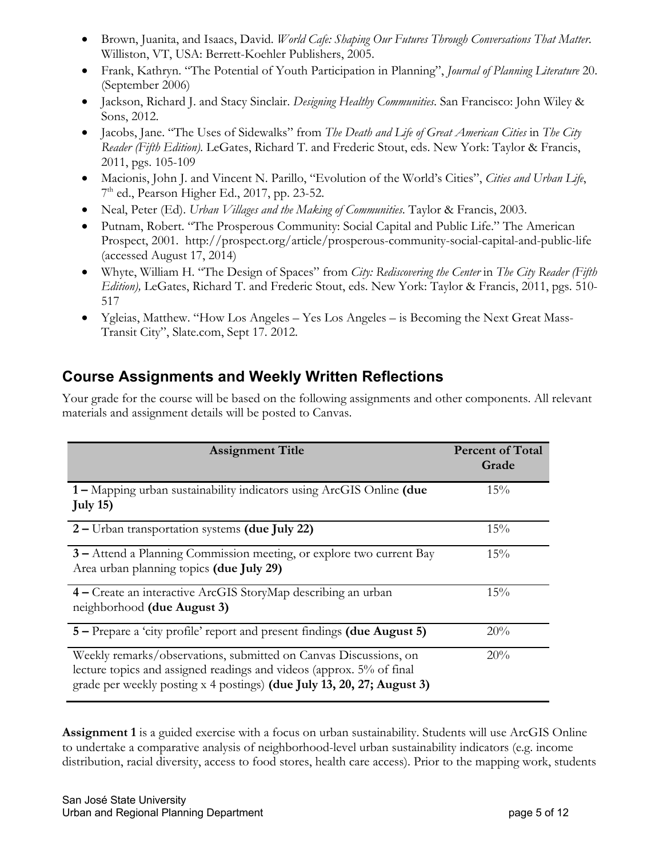- Brown, Juanita, and Isaacs, David. *World Cafe: Shaping Our Futures Through Conversations That Matter*. Williston, VT, USA: Berrett-Koehler Publishers, 2005.
- Frank, Kathryn. "The Potential of Youth Participation in Planning", *Journal of Planning Literature* 20. (September 2006)
- Jackson, Richard J. and Stacy Sinclair. *Designing Healthy Communities*. San Francisco: John Wiley & Sons, 2012.
- Jacobs, Jane. "The Uses of Sidewalks" from *The Death and Life of Great American Cities* in *The City Reader (Fifth Edition).* LeGates, Richard T. and Frederic Stout, eds. New York: Taylor & Francis, 2011, pgs. 105-109
- Macionis, John J. and Vincent N. Parillo, "Evolution of the World's Cities", *Cities and Urban Life*, 7th ed., Pearson Higher Ed., 2017, pp. 23-52.
- Neal, Peter (Ed). *Urban Villages and the Making of Communities*. Taylor & Francis, 2003.
- Putnam, Robert. "The Prosperous Community: Social Capital and Public Life." The American Prospect, 2001. http://prospect.org/article/prosperous-community-social-capital-and-public-life (accessed August 17, 2014)
- Whyte, William H. "The Design of Spaces" from *City: Rediscovering the Center* in *The City Reader (Fifth Edition),* LeGates, Richard T. and Frederic Stout, eds. New York: Taylor & Francis, 2011, pgs. 510- 517
- Ygleias, Matthew. "How Los Angeles Yes Los Angeles is Becoming the Next Great Mass-Transit City", Slate.com, Sept 17. 2012.

# **Course Assignments and Weekly Written Reflections**

Your grade for the course will be based on the following assignments and other components. All relevant materials and assignment details will be posted to Canvas.

| <b>Assignment Title</b>                                                                                                                                                                                            | <b>Percent of Total</b><br>Grade |
|--------------------------------------------------------------------------------------------------------------------------------------------------------------------------------------------------------------------|----------------------------------|
| 1 – Mapping urban sustainability indicators using ArcGIS Online (due<br>July $15$ )                                                                                                                                | 15%                              |
| 2 – Urban transportation systems (due July 22)                                                                                                                                                                     | 15%                              |
| 3 – Attend a Planning Commission meeting, or explore two current Bay<br>Area urban planning topics (due July 29)                                                                                                   | 15%                              |
| 4 - Create an interactive ArcGIS StoryMap describing an urban<br>neighborhood (due August 3)                                                                                                                       | 15%                              |
| 5 – Prepare a 'city profile' report and present findings (due August 5)                                                                                                                                            | 20%                              |
| Weekly remarks/observations, submitted on Canvas Discussions, on<br>lecture topics and assigned readings and videos (approx. 5% of final<br>grade per weekly posting x 4 postings) (due July 13, 20, 27; August 3) | 20%                              |

**Assignment 1** is a guided exercise with a focus on urban sustainability. Students will use ArcGIS Online to undertake a comparative analysis of neighborhood-level urban sustainability indicators (e.g. income distribution, racial diversity, access to food stores, health care access). Prior to the mapping work, students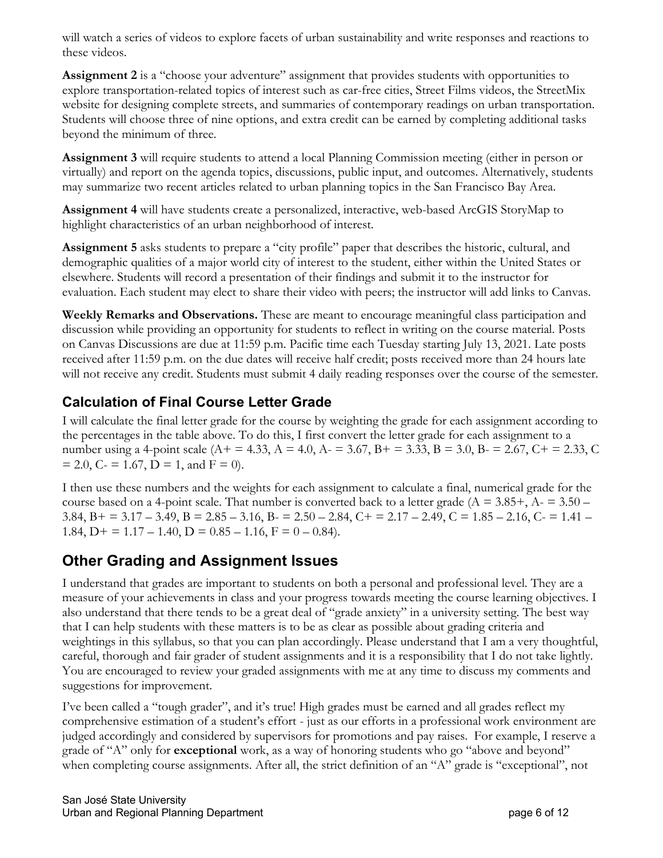will watch a series of videos to explore facets of urban sustainability and write responses and reactions to these videos.

**Assignment 2** is a "choose your adventure" assignment that provides students with opportunities to explore transportation-related topics of interest such as car-free cities, Street Films videos, the StreetMix website for designing complete streets, and summaries of contemporary readings on urban transportation. Students will choose three of nine options, and extra credit can be earned by completing additional tasks beyond the minimum of three.

**Assignment 3** will require students to attend a local Planning Commission meeting (either in person or virtually) and report on the agenda topics, discussions, public input, and outcomes. Alternatively, students may summarize two recent articles related to urban planning topics in the San Francisco Bay Area.

**Assignment 4** will have students create a personalized, interactive, web-based ArcGIS StoryMap to highlight characteristics of an urban neighborhood of interest.

**Assignment 5** asks students to prepare a "city profile" paper that describes the historic, cultural, and demographic qualities of a major world city of interest to the student, either within the United States or elsewhere. Students will record a presentation of their findings and submit it to the instructor for evaluation. Each student may elect to share their video with peers; the instructor will add links to Canvas.

**Weekly Remarks and Observations.** These are meant to encourage meaningful class participation and discussion while providing an opportunity for students to reflect in writing on the course material. Posts on Canvas Discussions are due at 11:59 p.m. Pacific time each Tuesday starting July 13, 2021. Late posts received after 11:59 p.m. on the due dates will receive half credit; posts received more than 24 hours late will not receive any credit. Students must submit 4 daily reading responses over the course of the semester.

## **Calculation of Final Course Letter Grade**

I will calculate the final letter grade for the course by weighting the grade for each assignment according to the percentages in the table above. To do this, I first convert the letter grade for each assignment to a number using a 4-point scale ( $A$  + = 4.33,  $A$  = 4.0,  $A$  = 3.67,  $B$  + = 3.33,  $B$  = 3.0,  $B$  = 2.67,  $C$  + = 2.33,  $C$  $= 2.0, C = 1.67, D = 1, and F = 0.$ 

I then use these numbers and the weights for each assignment to calculate a final, numerical grade for the course based on a 4-point scale. That number is converted back to a letter grade ( $A = 3.85 +$ ,  $A = 3.50 -$ 3.84, B + = 3.17 – 3.49, B = 2.85 – 3.16, B =  $2.50 - 2.84$ , C + =  $2.17 - 2.49$ , C =  $1.85 - 2.16$ , C =  $1.41 -$ 1.84,  $D+ = 1.17 - 1.40$ ,  $D = 0.85 - 1.16$ ,  $F = 0 - 0.84$ .

## **Other Grading and Assignment Issues**

I understand that grades are important to students on both a personal and professional level. They are a measure of your achievements in class and your progress towards meeting the course learning objectives. I also understand that there tends to be a great deal of "grade anxiety" in a university setting. The best way that I can help students with these matters is to be as clear as possible about grading criteria and weightings in this syllabus, so that you can plan accordingly. Please understand that I am a very thoughtful, careful, thorough and fair grader of student assignments and it is a responsibility that I do not take lightly. You are encouraged to review your graded assignments with me at any time to discuss my comments and suggestions for improvement.

I've been called a "tough grader", and it's true! High grades must be earned and all grades reflect my comprehensive estimation of a student's effort - just as our efforts in a professional work environment are judged accordingly and considered by supervisors for promotions and pay raises. For example, I reserve a grade of "A" only for **exceptional** work, as a way of honoring students who go "above and beyond" when completing course assignments. After all, the strict definition of an "A" grade is "exceptional", not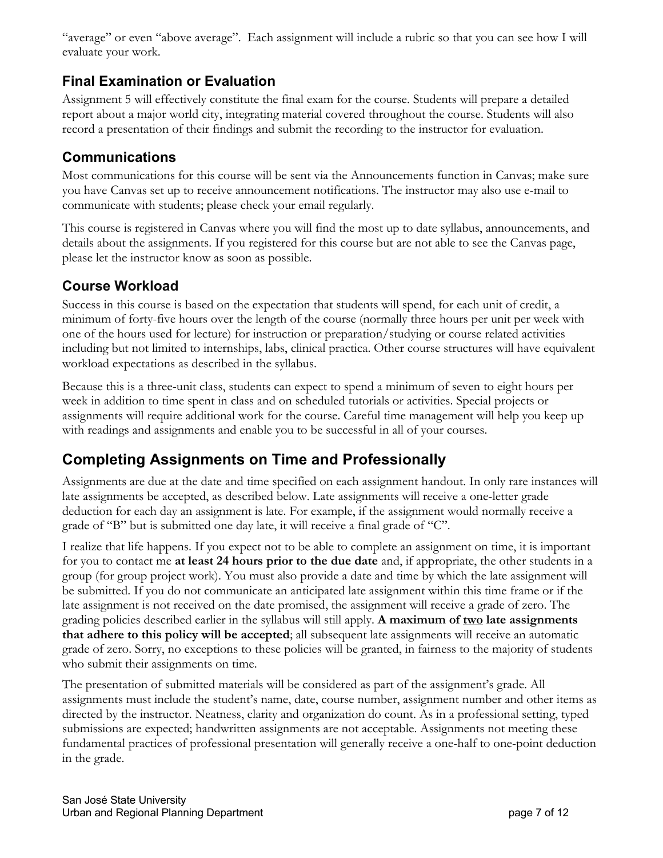"average" or even "above average". Each assignment will include a rubric so that you can see how I will evaluate your work.

## **Final Examination or Evaluation**

Assignment 5 will effectively constitute the final exam for the course. Students will prepare a detailed report about a major world city, integrating material covered throughout the course. Students will also record a presentation of their findings and submit the recording to the instructor for evaluation.

## **Communications**

Most communications for this course will be sent via the Announcements function in Canvas; make sure you have Canvas set up to receive announcement notifications. The instructor may also use e-mail to communicate with students; please check your email regularly.

This course is registered in Canvas where you will find the most up to date syllabus, announcements, and details about the assignments. If you registered for this course but are not able to see the Canvas page, please let the instructor know as soon as possible.

## **Course Workload**

Success in this course is based on the expectation that students will spend, for each unit of credit, a minimum of forty-five hours over the length of the course (normally three hours per unit per week with one of the hours used for lecture) for instruction or preparation/studying or course related activities including but not limited to internships, labs, clinical practica. Other course structures will have equivalent workload expectations as described in the syllabus.

Because this is a three-unit class, students can expect to spend a minimum of seven to eight hours per week in addition to time spent in class and on scheduled tutorials or activities. Special projects or assignments will require additional work for the course. Careful time management will help you keep up with readings and assignments and enable you to be successful in all of your courses.

# **Completing Assignments on Time and Professionally**

Assignments are due at the date and time specified on each assignment handout. In only rare instances will late assignments be accepted, as described below. Late assignments will receive a one-letter grade deduction for each day an assignment is late. For example, if the assignment would normally receive a grade of "B" but is submitted one day late, it will receive a final grade of "C".

I realize that life happens. If you expect not to be able to complete an assignment on time, it is important for you to contact me **at least 24 hours prior to the due date** and, if appropriate, the other students in a group (for group project work). You must also provide a date and time by which the late assignment will be submitted. If you do not communicate an anticipated late assignment within this time frame or if the late assignment is not received on the date promised, the assignment will receive a grade of zero. The grading policies described earlier in the syllabus will still apply. **A maximum of two late assignments that adhere to this policy will be accepted**; all subsequent late assignments will receive an automatic grade of zero. Sorry, no exceptions to these policies will be granted, in fairness to the majority of students who submit their assignments on time.

The presentation of submitted materials will be considered as part of the assignment's grade. All assignments must include the student's name, date, course number, assignment number and other items as directed by the instructor. Neatness, clarity and organization do count. As in a professional setting, typed submissions are expected; handwritten assignments are not acceptable. Assignments not meeting these fundamental practices of professional presentation will generally receive a one-half to one-point deduction in the grade.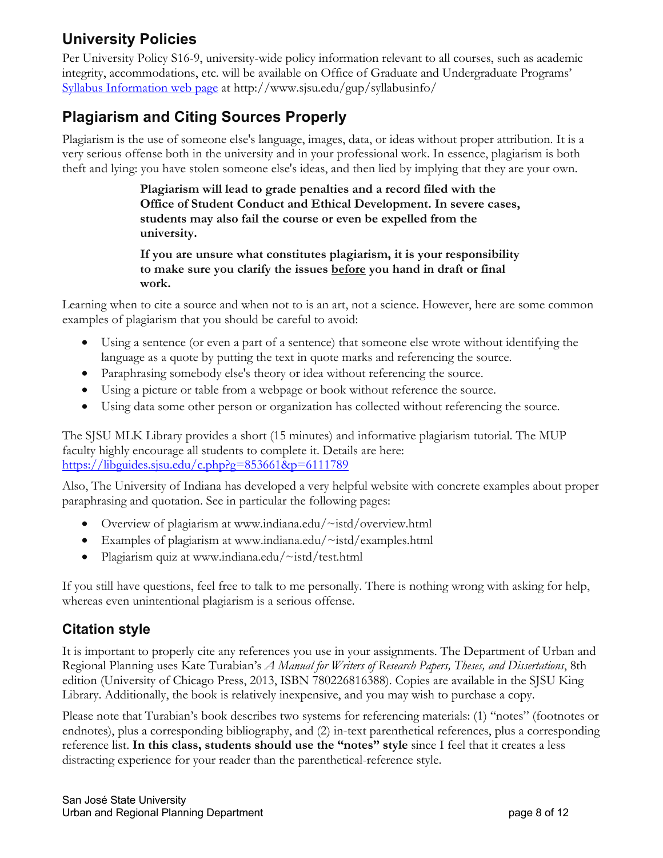# **University Policies**

Per University Policy S16-9, university-wide policy information relevant to all courses, such as academic integrity, accommodations, etc. will be available on Office of Graduate and Undergraduate Programs' Syllabus Information web page at http://www.sjsu.edu/gup/syllabusinfo/

# **Plagiarism and Citing Sources Properly**

Plagiarism is the use of someone else's language, images, data, or ideas without proper attribution. It is a very serious offense both in the university and in your professional work. In essence, plagiarism is both theft and lying: you have stolen someone else's ideas, and then lied by implying that they are your own.

> **Plagiarism will lead to grade penalties and a record filed with the Office of Student Conduct and Ethical Development. In severe cases, students may also fail the course or even be expelled from the university.**

> **If you are unsure what constitutes plagiarism, it is your responsibility to make sure you clarify the issues before you hand in draft or final work.**

Learning when to cite a source and when not to is an art, not a science. However, here are some common examples of plagiarism that you should be careful to avoid:

- Using a sentence (or even a part of a sentence) that someone else wrote without identifying the language as a quote by putting the text in quote marks and referencing the source.
- Paraphrasing somebody else's theory or idea without referencing the source.
- Using a picture or table from a webpage or book without reference the source.
- Using data some other person or organization has collected without referencing the source.

The SJSU MLK Library provides a short (15 minutes) and informative plagiarism tutorial. The MUP faculty highly encourage all students to complete it. Details are here: https://libguides.sjsu.edu/c.php?g=853661&p=6111789

Also, The University of Indiana has developed a very helpful website with concrete examples about proper paraphrasing and quotation. See in particular the following pages:

- Overview of plagiarism at www.indiana.edu/~istd/overview.html
- Examples of plagiarism at www.indiana.edu/~istd/examples.html
- Plagiarism quiz at www.indiana.edu/~istd/test.html

If you still have questions, feel free to talk to me personally. There is nothing wrong with asking for help, whereas even unintentional plagiarism is a serious offense.

## **Citation style**

It is important to properly cite any references you use in your assignments. The Department of Urban and Regional Planning uses Kate Turabian's *A Manual for Writers of Research Papers, Theses, and Dissertations*, 8th edition (University of Chicago Press, 2013, ISBN 780226816388). Copies are available in the SJSU King Library. Additionally, the book is relatively inexpensive, and you may wish to purchase a copy.

Please note that Turabian's book describes two systems for referencing materials: (1) "notes" (footnotes or endnotes), plus a corresponding bibliography, and (2) in-text parenthetical references, plus a corresponding reference list. **In this class, students should use the "notes" style** since I feel that it creates a less distracting experience for your reader than the parenthetical-reference style.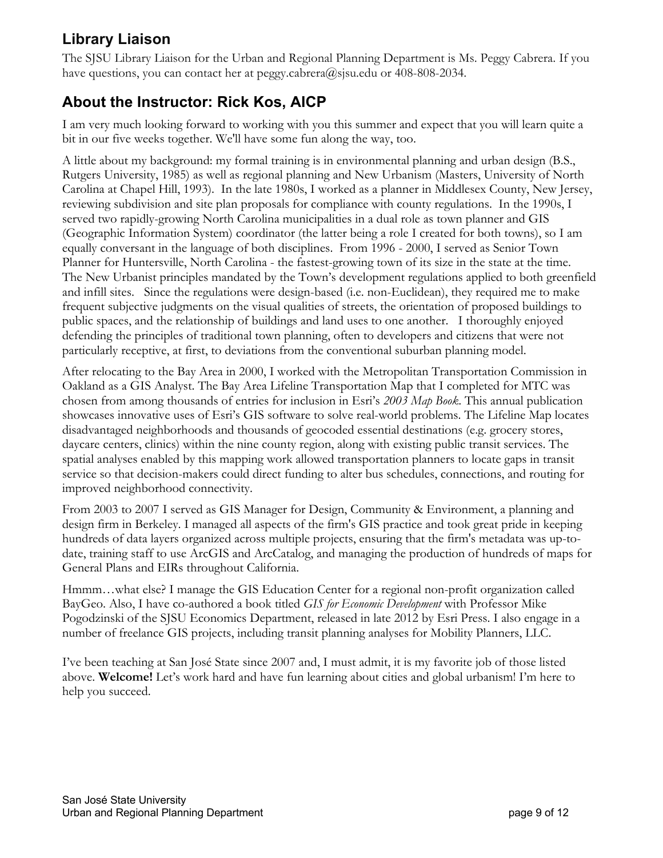# **Library Liaison**

The SJSU Library Liaison for the Urban and Regional Planning Department is Ms. Peggy Cabrera. If you have questions, you can contact her at peggy.cabrera@sjsu.edu or 408-808-2034.

## **About the Instructor: Rick Kos, AICP**

I am very much looking forward to working with you this summer and expect that you will learn quite a bit in our five weeks together. We'll have some fun along the way, too.

A little about my background: my formal training is in environmental planning and urban design (B.S., Rutgers University, 1985) as well as regional planning and New Urbanism (Masters, University of North Carolina at Chapel Hill, 1993). In the late 1980s, I worked as a planner in Middlesex County, New Jersey, reviewing subdivision and site plan proposals for compliance with county regulations. In the 1990s, I served two rapidly-growing North Carolina municipalities in a dual role as town planner and GIS (Geographic Information System) coordinator (the latter being a role I created for both towns), so I am equally conversant in the language of both disciplines. From 1996 - 2000, I served as Senior Town Planner for Huntersville, North Carolina - the fastest-growing town of its size in the state at the time. The New Urbanist principles mandated by the Town's development regulations applied to both greenfield and infill sites. Since the regulations were design-based (i.e. non-Euclidean), they required me to make frequent subjective judgments on the visual qualities of streets, the orientation of proposed buildings to public spaces, and the relationship of buildings and land uses to one another. I thoroughly enjoyed defending the principles of traditional town planning, often to developers and citizens that were not particularly receptive, at first, to deviations from the conventional suburban planning model.

After relocating to the Bay Area in 2000, I worked with the Metropolitan Transportation Commission in Oakland as a GIS Analyst. The Bay Area Lifeline Transportation Map that I completed for MTC was chosen from among thousands of entries for inclusion in Esri's *2003 Map Book*. This annual publication showcases innovative uses of Esri's GIS software to solve real-world problems. The Lifeline Map locates disadvantaged neighborhoods and thousands of geocoded essential destinations (e.g. grocery stores, daycare centers, clinics) within the nine county region, along with existing public transit services. The spatial analyses enabled by this mapping work allowed transportation planners to locate gaps in transit service so that decision-makers could direct funding to alter bus schedules, connections, and routing for improved neighborhood connectivity.

From 2003 to 2007 I served as GIS Manager for Design, Community & Environment, a planning and design firm in Berkeley. I managed all aspects of the firm's GIS practice and took great pride in keeping hundreds of data layers organized across multiple projects, ensuring that the firm's metadata was up-todate, training staff to use ArcGIS and ArcCatalog, and managing the production of hundreds of maps for General Plans and EIRs throughout California.

Hmmm…what else? I manage the GIS Education Center for a regional non-profit organization called BayGeo. Also, I have co-authored a book titled *GIS for Economic Development* with Professor Mike Pogodzinski of the SJSU Economics Department, released in late 2012 by Esri Press. I also engage in a number of freelance GIS projects, including transit planning analyses for Mobility Planners, LLC.

I've been teaching at San José State since 2007 and, I must admit, it is my favorite job of those listed above. **Welcome!** Let's work hard and have fun learning about cities and global urbanism! I'm here to help you succeed.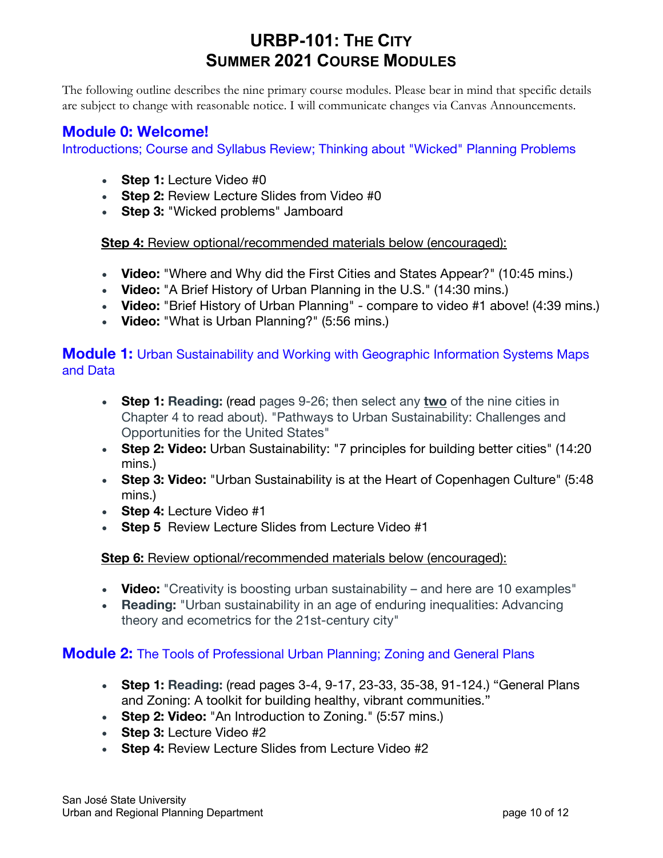# **URBP-101: THE CITY SUMMER 2021 COURSE MODULES**

The following outline describes the nine primary course modules. Please bear in mind that specific details are subject to change with reasonable notice. I will communicate changes via Canvas Announcements.

## **Module 0: Welcome!**

Introductions; Course and Syllabus Review; Thinking about "Wicked" Planning Problems

- **Step 1:** Lecture Video #0
- **Step 2:** Review Lecture Slides from Video #0
- **Step 3:** "Wicked problems" Jamboard

**Step 4:** Review optional/recommended materials below (encouraged):

- **Video:** "Where and Why did the First Cities and States Appear?" (10:45 mins.)
- **Video:** "A Brief History of Urban Planning in the U.S." (14:30 mins.)
- **Video:** "Brief History of Urban Planning" compare to video #1 above! (4:39 mins.)
- **Video:** "What is Urban Planning?" (5:56 mins.)

## **Module 1:** Urban Sustainability and Working with Geographic Information Systems Maps and Data

- **Step 1: Reading:** (read pages 9-26; then select any **two** of the nine cities in Chapter 4 to read about). "Pathways to Urban Sustainability: Challenges and Opportunities for the United States"
- **Step 2: Video:** Urban Sustainability: "7 principles for building better cities" (14:20 mins.)
- **Step 3: Video:** "Urban Sustainability is at the Heart of Copenhagen Culture" (5:48 mins.)
- **Step 4:** Lecture Video #1
- **Step 5** Review Lecture Slides from Lecture Video #1

### **Step 6:** Review optional/recommended materials below (encouraged):

- **Video:** "Creativity is boosting urban sustainability and here are 10 examples"
- **Reading:** "Urban sustainability in an age of enduring inequalities: Advancing theory and ecometrics for the 21st-century city"

## **Module 2:** The Tools of Professional Urban Planning; Zoning and General Plans

- **Step 1: Reading:** (read pages 3-4, 9-17, 23-33, 35-38, 91-124.) "General Plans and Zoning: A toolkit for building healthy, vibrant communities."
- **Step 2: Video:** "An Introduction to Zoning." (5:57 mins.)
- **Step 3:** Lecture Video #2
- **Step 4:** Review Lecture Slides from Lecture Video #2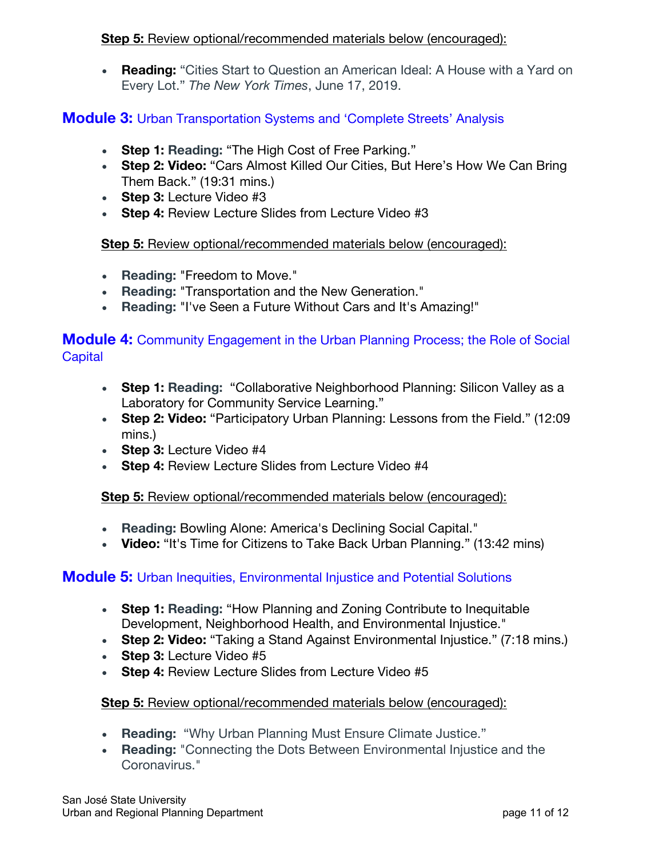### **Step 5:** Review optional/recommended materials below (encouraged):

• **Reading:** "Cities Start to Question an American Ideal: A House with a Yard on Every Lot." *The New York Times*, June 17, 2019.

## **Module 3:** Urban Transportation Systems and 'Complete Streets' Analysis

- **Step 1: Reading:** "The High Cost of Free Parking."
- **Step 2: Video:** "Cars Almost Killed Our Cities, But Here's How We Can Bring Them Back." (19:31 mins.)
- **Step 3:** Lecture Video #3
- **Step 4: Review Lecture Slides from Lecture Video #3**

### **Step 5:** Review optional/recommended materials below (encouraged):

- **Reading:** "Freedom to Move."
- **Reading:** "Transportation and the New Generation."
- **Reading:** "I've Seen a Future Without Cars and It's Amazing!"

### **Module 4:** Community Engagement in the Urban Planning Process; the Role of Social **Capital**

- **Step 1: Reading:** "Collaborative Neighborhood Planning: Silicon Valley as a Laboratory for Community Service Learning."
- **Step 2: Video:** "Participatory Urban Planning: Lessons from the Field." (12:09 mins.)
- **Step 3:** Lecture Video #4
- **Step 4:** Review Lecture Slides from Lecture Video #4

### **Step 5:** Review optional/recommended materials below (encouraged):

- **Reading:** Bowling Alone: America's Declining Social Capital."
- **Video:** "It's Time for Citizens to Take Back Urban Planning." (13:42 mins)

### **Module 5:** Urban Inequities, Environmental Injustice and Potential Solutions

- **Step 1: Reading:** "How Planning and Zoning Contribute to Inequitable Development, Neighborhood Health, and Environmental Injustice."
- **Step 2: Video:** "Taking a Stand Against Environmental Injustice." (7:18 mins.)
- **Step 3:** Lecture Video #5
- **Step 4:** Review Lecture Slides from Lecture Video #5

### **Step 5:** Review optional/recommended materials below (encouraged):

- **Reading:** "Why Urban Planning Must Ensure Climate Justice."
- **Reading:** "Connecting the Dots Between Environmental Injustice and the Coronavirus."